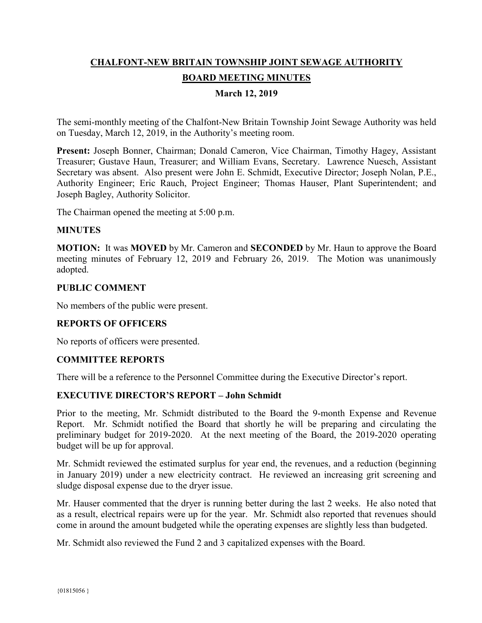# **CHALFONT-NEW BRITAIN TOWNSHIP JOINT SEWAGE AUTHORITY BOARD MEETING MINUTES**

## **March 12, 2019**

The semi-monthly meeting of the Chalfont-New Britain Township Joint Sewage Authority was held on Tuesday, March 12, 2019, in the Authority's meeting room.

**Present:** Joseph Bonner, Chairman; Donald Cameron, Vice Chairman, Timothy Hagey, Assistant Treasurer; Gustave Haun, Treasurer; and William Evans, Secretary. Lawrence Nuesch, Assistant Secretary was absent. Also present were John E. Schmidt, Executive Director; Joseph Nolan, P.E., Authority Engineer; Eric Rauch, Project Engineer; Thomas Hauser, Plant Superintendent; and Joseph Bagley, Authority Solicitor.

The Chairman opened the meeting at 5:00 p.m.

#### **MINUTES**

**MOTION:** It was **MOVED** by Mr. Cameron and **SECONDED** by Mr. Haun to approve the Board meeting minutes of February 12, 2019 and February 26, 2019. The Motion was unanimously adopted.

#### **PUBLIC COMMENT**

No members of the public were present.

#### **REPORTS OF OFFICERS**

No reports of officers were presented.

#### **COMMITTEE REPORTS**

There will be a reference to the Personnel Committee during the Executive Director's report.

#### **EXECUTIVE DIRECTOR'S REPORT – John Schmidt**

Prior to the meeting, Mr. Schmidt distributed to the Board the 9-month Expense and Revenue Report. Mr. Schmidt notified the Board that shortly he will be preparing and circulating the preliminary budget for 2019-2020. At the next meeting of the Board, the 2019-2020 operating budget will be up for approval.

Mr. Schmidt reviewed the estimated surplus for year end, the revenues, and a reduction (beginning in January 2019) under a new electricity contract. He reviewed an increasing grit screening and sludge disposal expense due to the dryer issue.

Mr. Hauser commented that the dryer is running better during the last 2 weeks. He also noted that as a result, electrical repairs were up for the year. Mr. Schmidt also reported that revenues should come in around the amount budgeted while the operating expenses are slightly less than budgeted.

Mr. Schmidt also reviewed the Fund 2 and 3 capitalized expenses with the Board.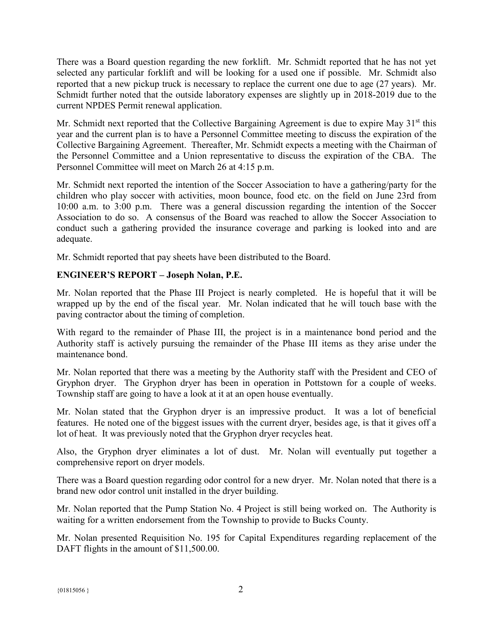There was a Board question regarding the new forklift. Mr. Schmidt reported that he has not yet selected any particular forklift and will be looking for a used one if possible. Mr. Schmidt also reported that a new pickup truck is necessary to replace the current one due to age (27 years). Mr. Schmidt further noted that the outside laboratory expenses are slightly up in 2018-2019 due to the current NPDES Permit renewal application.

Mr. Schmidt next reported that the Collective Bargaining Agreement is due to expire May 31<sup>st</sup> this year and the current plan is to have a Personnel Committee meeting to discuss the expiration of the Collective Bargaining Agreement. Thereafter, Mr. Schmidt expects a meeting with the Chairman of the Personnel Committee and a Union representative to discuss the expiration of the CBA. The Personnel Committee will meet on March 26 at 4:15 p.m.

Mr. Schmidt next reported the intention of the Soccer Association to have a gathering/party for the children who play soccer with activities, moon bounce, food etc. on the field on June 23rd from 10:00 a.m. to 3:00 p.m. There was a general discussion regarding the intention of the Soccer Association to do so. A consensus of the Board was reached to allow the Soccer Association to conduct such a gathering provided the insurance coverage and parking is looked into and are adequate.

Mr. Schmidt reported that pay sheets have been distributed to the Board.

# **ENGINEER'S REPORT – Joseph Nolan, P.E.**

Mr. Nolan reported that the Phase III Project is nearly completed. He is hopeful that it will be wrapped up by the end of the fiscal year. Mr. Nolan indicated that he will touch base with the paving contractor about the timing of completion.

With regard to the remainder of Phase III, the project is in a maintenance bond period and the Authority staff is actively pursuing the remainder of the Phase III items as they arise under the maintenance bond.

Mr. Nolan reported that there was a meeting by the Authority staff with the President and CEO of Gryphon dryer. The Gryphon dryer has been in operation in Pottstown for a couple of weeks. Township staff are going to have a look at it at an open house eventually.

Mr. Nolan stated that the Gryphon dryer is an impressive product. It was a lot of beneficial features. He noted one of the biggest issues with the current dryer, besides age, is that it gives off a lot of heat. It was previously noted that the Gryphon dryer recycles heat.

Also, the Gryphon dryer eliminates a lot of dust. Mr. Nolan will eventually put together a comprehensive report on dryer models.

There was a Board question regarding odor control for a new dryer. Mr. Nolan noted that there is a brand new odor control unit installed in the dryer building.

Mr. Nolan reported that the Pump Station No. 4 Project is still being worked on. The Authority is waiting for a written endorsement from the Township to provide to Bucks County.

Mr. Nolan presented Requisition No. 195 for Capital Expenditures regarding replacement of the DAFT flights in the amount of \$11,500.00.